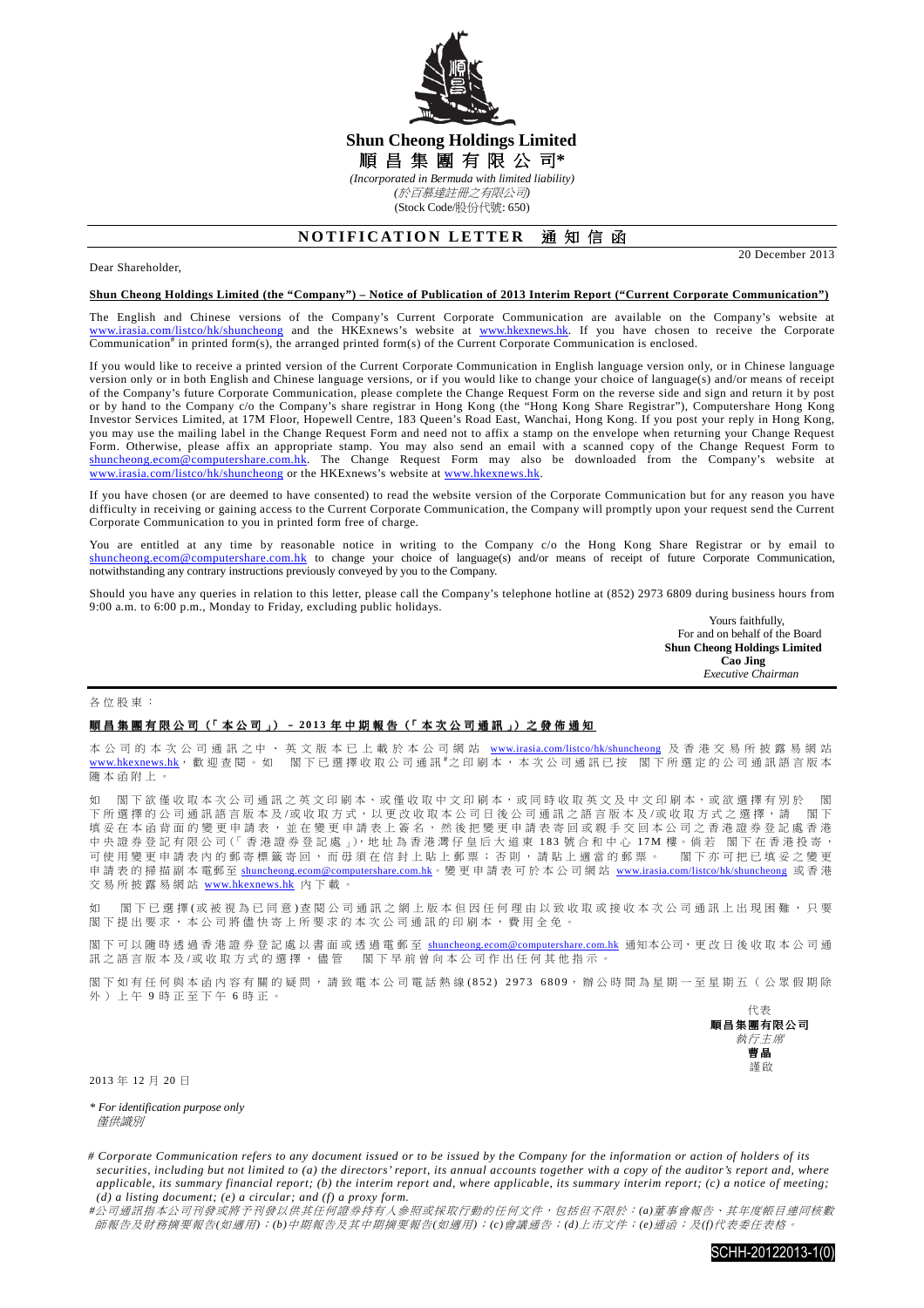

# **Shun Cheong Holdings Limited**  順 昌 集 團 有 限 公 司**\***

*(Incorporated in Bermuda with limited liability)* 

*(*於百慕達註冊之有限公司*)*  (Stock Code/股份代號: 650)

## **NOTIFICATION LETTER 通知信函**

### Dear Shareholder,

20 December 2013

### **Shun Cheong Holdings Limited (the "Company") – Notice of Publication of 2013 Interim Report ("Current Corporate Communication")**

The English and Chinese versions of the Company's Current Corporate Communication are available on the Company's website at www.irasia.com/listco/hk/shuncheong and the HKExnews's website at www.hkexnews.hk. If you have chosen to receive the Corporate Communication<sup>#</sup> in printed form(s), the arranged printed form(s) of the Current Corporate Communication is enclosed.

If you would like to receive a printed version of the Current Corporate Communication in English language version only, or in Chinese language version only or in both English and Chinese language versions, or if you would like to change your choice of language(s) and/or means of receipt of the Company's future Corporate Communication, please complete the Change Request Form on the reverse side and sign and return it by post or by hand to the Company c/o the Company's share registrar in Hong Kong (the "Hong Kong Share Registrar"), Computershare Hong Kong Investor Services Limited, at 17M Floor, Hopewell Centre, 183 Queen's Road East, Wanchai, Hong Kong. If you post your reply in Hong Kong, you may use the mailing label in the Change Request Form and need not to affix a stamp on the envelope when returning your Change Request Form. Otherwise, please affix an appropriate stamp. You may also send an email with a scanned copy of the Change Request Form to shuncheong.ecom@computershare.com.hk. The Change Request Form may also be downloaded from the Company's website at www.irasia.com/listco/hk/shuncheong or the HKExnews's website at www.hkexnews.hk.

If you have chosen (or are deemed to have consented) to read the website version of the Corporate Communication but for any reason you have difficulty in receiving or gaining access to the Current Corporate Communication, the Company will promptly upon your request send the Current Corporate Communication to you in printed form free of charge.

You are entitled at any time by reasonable notice in writing to the Company c/o the Hong Kong Share Registrar or by email to shuncheong.ecom@computershare.com.hk to change your choice of language(s) and/or means of receipt of future Corporate Communication, notwithstanding any contrary instructions previously conveyed by you to the Company.

Should you have any queries in relation to this letter, please call the Company's telephone hotline at (852) 2973 6809 during business hours from 9:00 a.m. to 6:00 p.m., Monday to Friday, excluding public holidays.

Yours faithfully, For and on behalf of the Board  **Shun Cheong Holdings Limited Cao Jing**   *Executive Chairman* 

#### 各 位 股 東 :

### 順昌集團有限公司(「本公司」) - 2013 年中期報告(「本次公司通訊」) 之發佈通知

本 公 司 的 本 次 公 司 通 訊 之 中 、 英 文 版 本 已 上 載 於 本 公 司 網 站 www.irasia.com/listco/hk/shuncheong 及 香 港 交 易 所 披 露 易 網 站 www.hkexnews.hk, 歡 迎 查 閱 。 如 图 下 已 選 擇 收 取 公 司 通 訊 <sup>#</sup>之 印 刷 本 , 本 次 公 司 通 訊 已 按 图 下 所 選 定 的 公 司 通 訊 語 言 版 本 隨 本 函 附 上 。

閣下 欲 僅 收 取 本 次 公 司 通 訊 之 英 文 印 刷 本、或 僅 收 取 中 文 印 刷 本,或 同 時 收 取 英 文 及 中 文 印 刷 本,或 欲 選 擇 有 別 於 閣 下 所 選 擇 的 公 司 通 訊 語 言 版 本 及 /或 收 取 方 式 , 以 更 改 收 取 本 公 司 日 後 公 司 通 訊 之 語 言 版 本 及 /或 收 取 方 式 之 選 擇 , 請 图下 填妥在本函背面的變更申請表,並在變更申請表上簽名,然後把變更申請表寄回或親手交回本公司之香港證券登記處香港 中 央 證 券 登 記 有 限 公 司(「 香 港 證 券 登 記 處 」),地 址 為 香 港 灣 仔 皇 后 大 道 東 1 8 3 號 合 和 中 心 1 7 M 樓。倘 若 閣 下 在 香 港 投 寄 , 可使用變更申請表內的郵寄標籤寄回,而毋須在信封上貼上郵票;否則,請貼上適當的郵票。 閣下亦可把已填妥之變更 申 請 表 的 掃 描 副 本 電郵至 shuncheong.ecom@computershare.com.hk。 變 更 申 請 表 可 於 本 公 司 網 站 www.irasia.com/listco/hk/shuncheong 或 香 港 交易所披露易網站 www.hkexnews.hk 內下載。

如 閣下已 選 擇 (或 被 視 為 已 同 意 ) 查 閱 公 司 通 訊 之 網 上 版 本 但 因 任 何 理 由 以 致 收 取 或 接 收 本 次 公 司 通 訊 上 出 現 困 難 , 只 要 閣下提出要求,本公司將儘快寄上所要求的本次公司通訊的印刷本,費用全免。

閣下可以 隨時透過香港證券登記處以書面或透過電郵至 shuncheong.ecom@computershare.com.hk 通知本公司, 更改日後收取本公司通 訊之語言版本及/或收取方式的選擇,儘管 閣下早前曾向本公司作出任何其他指示。

閣下如有任何與本函內容有關的疑問,請致電本公司電話熱線(852) 2973 6809,辦公時間為星期一至星期五(公眾假期除 外 ) 上 午 9 時 正 至 下 午 6 時 正 。



2013 年 12 月 20 日

*\* For identification purpose only*  僅供識別

*# Corporate Communication refers to any document issued or to be issued by the Company for the information or action of holders of its securities, including but not limited to (a) the directors' report, its annual accounts together with a copy of the auditor's report and, where applicable, its summary financial report; (b) the interim report and, where applicable, its summary interim report; (c) a notice of meeting; (d) a listing document; (e) a circular; and (f) a proxy form.* 

*#*公司通訊指本公司刊發或將予刊發以供其任何證券持有人參照或採取行動的任何文件,包括但不限於:*(a)*董事會報告、其年度帳目連同核數 師報告及財務摘要報告*(*如適用*)*;*(b)*中期報告及其中期摘要報告*(*如適用*)*;*(c)*會議通告;*(d)*上市文件;*(e)*通函;及*(f)*代表委任表格。